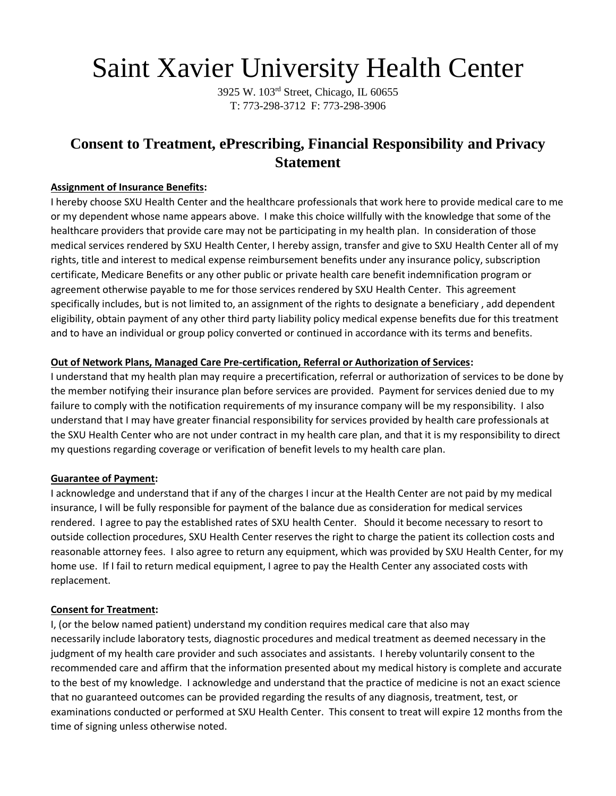# Saint Xavier University Health Center

3925 W. 103rd Street, Chicago, IL 60655 T: 773-298-3712 F: 773-298-3906

# **Consent to Treatment, ePrescribing, Financial Responsibility and Privacy Statement**

# **Assignment of Insurance Benefits:**

I hereby choose SXU Health Center and the healthcare professionals that work here to provide medical care to me or my dependent whose name appears above. I make this choice willfully with the knowledge that some of the healthcare providers that provide care may not be participating in my health plan. In consideration of those medical services rendered by SXU Health Center, I hereby assign, transfer and give to SXU Health Center all of my rights, title and interest to medical expense reimbursement benefits under any insurance policy, subscription certificate, Medicare Benefits or any other public or private health care benefit indemnification program or agreement otherwise payable to me for those services rendered by SXU Health Center. This agreement specifically includes, but is not limited to, an assignment of the rights to designate a beneficiary , add dependent eligibility, obtain payment of any other third party liability policy medical expense benefits due for this treatment and to have an individual or group policy converted or continued in accordance with its terms and benefits.

# **Out of Network Plans, Managed Care Pre-certification, Referral or Authorization of Services:**

I understand that my health plan may require a precertification, referral or authorization of services to be done by the member notifying their insurance plan before services are provided. Payment for services denied due to my failure to comply with the notification requirements of my insurance company will be my responsibility. I also understand that I may have greater financial responsibility for services provided by health care professionals at the SXU Health Center who are not under contract in my health care plan, and that it is my responsibility to direct my questions regarding coverage or verification of benefit levels to my health care plan.

# **Guarantee of Payment:**

I acknowledge and understand that if any of the charges I incur at the Health Center are not paid by my medical insurance, I will be fully responsible for payment of the balance due as consideration for medical services rendered. I agree to pay the established rates of SXU health Center. Should it become necessary to resort to outside collection procedures, SXU Health Center reserves the right to charge the patient its collection costs and reasonable attorney fees. I also agree to return any equipment, which was provided by SXU Health Center, for my home use. If I fail to return medical equipment, I agree to pay the Health Center any associated costs with replacement.

#### **Consent for Treatment:**

I, (or the below named patient) understand my condition requires medical care that also may necessarily include laboratory tests, diagnostic procedures and medical treatment as deemed necessary in the judgment of my health care provider and such associates and assistants. I hereby voluntarily consent to the recommended care and affirm that the information presented about my medical history is complete and accurate to the best of my knowledge. I acknowledge and understand that the practice of medicine is not an exact science that no guaranteed outcomes can be provided regarding the results of any diagnosis, treatment, test, or examinations conducted or performed at SXU Health Center. This consent to treat will expire 12 months from the time of signing unless otherwise noted.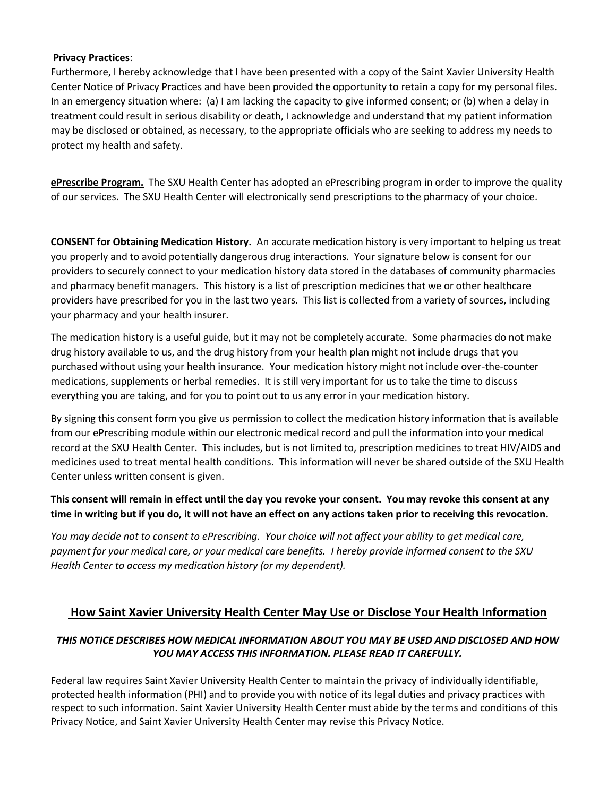#### **Privacy Practices**:

Furthermore, I hereby acknowledge that I have been presented with a copy of the Saint Xavier University Health Center Notice of Privacy Practices and have been provided the opportunity to retain a copy for my personal files. In an emergency situation where: (a) I am lacking the capacity to give informed consent; or (b) when a delay in treatment could result in serious disability or death, I acknowledge and understand that my patient information may be disclosed or obtained, as necessary, to the appropriate officials who are seeking to address my needs to protect my health and safety.

**ePrescribe Program.** The SXU Health Center has adopted an ePrescribing program in order to improve the quality of our services. The SXU Health Center will electronically send prescriptions to the pharmacy of your choice.

**CONSENT for Obtaining Medication History.** An accurate medication history is very important to helping us treat you properly and to avoid potentially dangerous drug interactions. Your signature below is consent for our providers to securely connect to your medication history data stored in the databases of community pharmacies and pharmacy benefit managers. This history is a list of prescription medicines that we or other healthcare providers have prescribed for you in the last two years. This list is collected from a variety of sources, including your pharmacy and your health insurer.

The medication history is a useful guide, but it may not be completely accurate. Some pharmacies do not make drug history available to us, and the drug history from your health plan might not include drugs that you purchased without using your health insurance. Your medication history might not include over-the-counter medications, supplements or herbal remedies. It is still very important for us to take the time to discuss everything you are taking, and for you to point out to us any error in your medication history.

By signing this consent form you give us permission to collect the medication history information that is available from our ePrescribing module within our electronic medical record and pull the information into your medical record at the SXU Health Center. This includes, but is not limited to, prescription medicines to treat HIV/AIDS and medicines used to treat mental health conditions. This information will never be shared outside of the SXU Health Center unless written consent is given.

# **This consent will remain in effect until the day you revoke your consent. You may revoke this consent at any time in writing but if you do, it will not have an effect on any actions taken prior to receiving this revocation.**

*You may decide not to consent to ePrescribing. Your choice will not affect your ability to get medical care, payment for your medical care, or your medical care benefits. I hereby provide informed consent to the SXU Health Center to access my medication history (or my dependent).* 

# **How Saint Xavier University Health Center May Use or Disclose Your Health Information**

# *THIS NOTICE DESCRIBES HOW MEDICAL INFORMATION ABOUT YOU MAY BE USED AND DISCLOSED AND HOW YOU MAY ACCESS THIS INFORMATION. PLEASE READ IT CAREFULLY.*

Federal law requires Saint Xavier University Health Center to maintain the privacy of individually identifiable, protected health information (PHI) and to provide you with notice of its legal duties and privacy practices with respect to such information. Saint Xavier University Health Center must abide by the terms and conditions of this Privacy Notice, and Saint Xavier University Health Center may revise this Privacy Notice.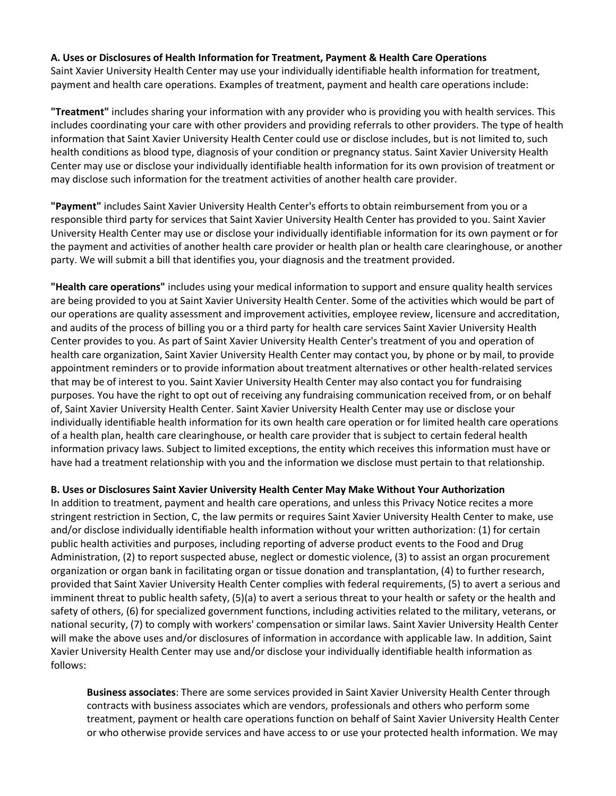#### **A. Uses or Disclosures of Health Information for Treatment, Payment & Health Care Operations**

Saint Xavier University Health Center may use your individually identifiable health information for treatment, payment and health care operations. Examples of treatment, payment and health care operations include:

**"Treatment"** includes sharing your information with any provider who is providing you with health services. This includes coordinating your care with other providers and providing referrals to other providers. The type of health information that Saint Xavier University Health Center could use or disclose includes, but is not limited to, such health conditions as blood type, diagnosis of your condition or pregnancy status. Saint Xavier University Health Center may use or disclose your individually identifiable health information for its own provision of treatment or may disclose such information for the treatment activities of another health care provider.

**"Payment"** includes Saint Xavier University Health Center's efforts to obtain reimbursement from you or a responsible third party for services that Saint Xavier University Health Center has provided to you. Saint Xavier University Health Center may use or disclose your individually identifiable information for its own payment or for the payment and activities of another health care provider or health plan or health care clearinghouse, or another party. We will submit a bill that identifies you, your diagnosis and the treatment provided.

**"Health care operations"** includes using your medical information to support and ensure quality health services are being provided to you at Saint Xavier University Health Center. Some of the activities which would be part of our operations are quality assessment and improvement activities, employee review, licensure and accreditation, and audits of the process of billing you or a third party for health care services Saint Xavier University Health Center provides to you. As part of Saint Xavier University Health Center's treatment of you and operation of health care organization, Saint Xavier University Health Center may contact you, by phone or by mail, to provide appointment reminders or to provide information about treatment alternatives or other health-related services that may be of interest to you. Saint Xavier University Health Center may also contact you for fundraising purposes. You have the right to opt out of receiving any fundraising communication received from, or on behalf of, Saint Xavier University Health Center. Saint Xavier University Health Center may use or disclose your individually identifiable health information for its own health care operation or for limited health care operations of a health plan, health care clearinghouse, or health care provider that is subject to certain federal health information privacy laws. Subject to limited exceptions, the entity which receives this information must have or have had a treatment relationship with you and the information we disclose must pertain to that relationship.

#### **B. Uses or Disclosures Saint Xavier University Health Center May Make Without Your Authorization**

In addition to treatment, payment and health care operations, and unless this Privacy Notice recites a more stringent restriction in Section, C, the law permits or requires Saint Xavier University Health Center to make, use and/or disclose individually identifiable health information without your written authorization: (1) for certain public health activities and purposes, including reporting of adverse product events to the Food and Drug Administration, (2) to report suspected abuse, neglect or domestic violence, (3) to assist an organ procurement organization or organ bank in facilitating organ or tissue donation and transplantation, (4) to further research, provided that Saint Xavier University Health Center complies with federal requirements, (5) to avert a serious and imminent threat to public health safety, (5)(a) to avert a serious threat to your health or safety or the health and safety of others, (6) for specialized government functions, including activities related to the military, veterans, or national security, (7) to comply with workers' compensation or similar laws. Saint Xavier University Health Center will make the above uses and/or disclosures of information in accordance with applicable law. In addition, Saint Xavier University Health Center may use and/or disclose your individually identifiable health information as follows:

**Business associates**: There are some services provided in Saint Xavier University Health Center through contracts with business associates which are vendors, professionals and others who perform some treatment, payment or health care operations function on behalf of Saint Xavier University Health Center or who otherwise provide services and have access to or use your protected health information. We may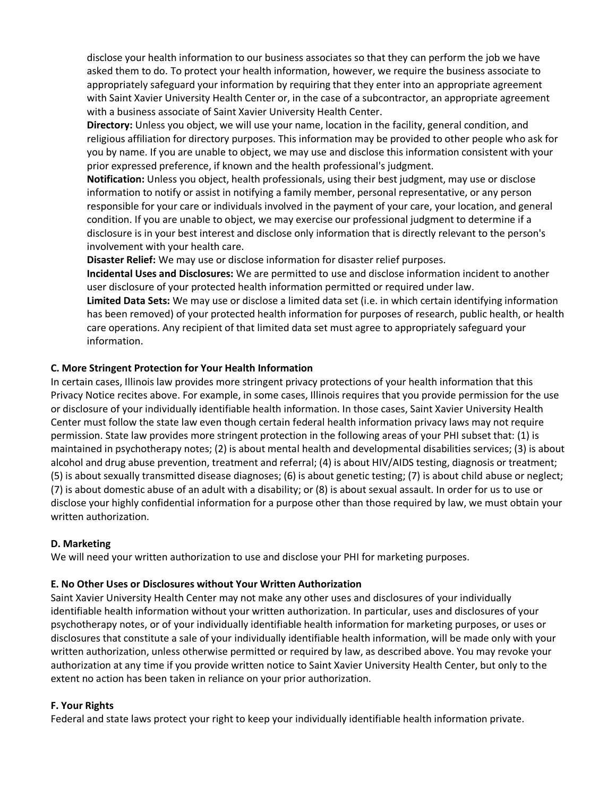disclose your health information to our business associates so that they can perform the job we have asked them to do. To protect your health information, however, we require the business associate to appropriately safeguard your information by requiring that they enter into an appropriate agreement with Saint Xavier University Health Center or, in the case of a subcontractor, an appropriate agreement with a business associate of Saint Xavier University Health Center.

**Directory:** Unless you object, we will use your name, location in the facility, general condition, and religious affiliation for directory purposes. This information may be provided to other people who ask for you by name. If you are unable to object, we may use and disclose this information consistent with your prior expressed preference, if known and the health professional's judgment.

**Notification:** Unless you object, health professionals, using their best judgment, may use or disclose information to notify or assist in notifying a family member, personal representative, or any person responsible for your care or individuals involved in the payment of your care, your location, and general condition. If you are unable to object, we may exercise our professional judgment to determine if a disclosure is in your best interest and disclose only information that is directly relevant to the person's involvement with your health care.

**Disaster Relief:** We may use or disclose information for disaster relief purposes.

**Incidental Uses and Disclosures:** We are permitted to use and disclose information incident to another user disclosure of your protected health information permitted or required under law.

**Limited Data Sets:** We may use or disclose a limited data set (i.e. in which certain identifying information has been removed) of your protected health information for purposes of research, public health, or health care operations. Any recipient of that limited data set must agree to appropriately safeguard your information.

#### **C. More Stringent Protection for Your Health Information**

In certain cases, Illinois law provides more stringent privacy protections of your health information that this Privacy Notice recites above. For example, in some cases, Illinois requires that you provide permission for the use or disclosure of your individually identifiable health information. In those cases, Saint Xavier University Health Center must follow the state law even though certain federal health information privacy laws may not require permission. State law provides more stringent protection in the following areas of your PHI subset that: (1) is maintained in psychotherapy notes; (2) is about mental health and developmental disabilities services; (3) is about alcohol and drug abuse prevention, treatment and referral; (4) is about HIV/AIDS testing, diagnosis or treatment; (5) is about sexually transmitted disease diagnoses; (6) is about genetic testing; (7) is about child abuse or neglect; (7) is about domestic abuse of an adult with a disability; or (8) is about sexual assault. In order for us to use or disclose your highly confidential information for a purpose other than those required by law, we must obtain your written authorization.

#### **D. Marketing**

We will need your written authorization to use and disclose your PHI for marketing purposes.

#### **E. No Other Uses or Disclosures without Your Written Authorization**

Saint Xavier University Health Center may not make any other uses and disclosures of your individually identifiable health information without your written authorization. In particular, uses and disclosures of your psychotherapy notes, or of your individually identifiable health information for marketing purposes, or uses or disclosures that constitute a sale of your individually identifiable health information, will be made only with your written authorization, unless otherwise permitted or required by law, as described above. You may revoke your authorization at any time if you provide written notice to Saint Xavier University Health Center, but only to the extent no action has been taken in reliance on your prior authorization.

#### **F. Your Rights**

Federal and state laws protect your right to keep your individually identifiable health information private.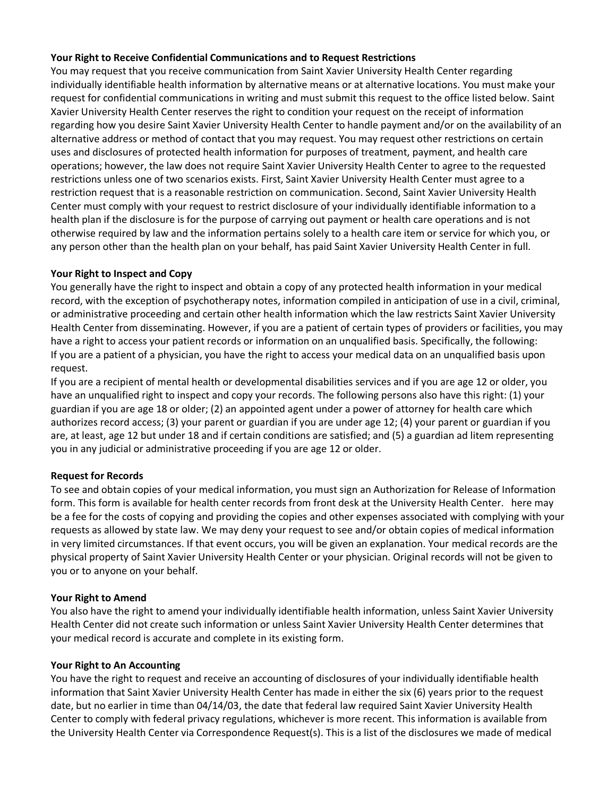#### **Your Right to Receive Confidential Communications and to Request Restrictions**

You may request that you receive communication from Saint Xavier University Health Center regarding individually identifiable health information by alternative means or at alternative locations. You must make your request for confidential communications in writing and must submit this request to the office listed below. Saint Xavier University Health Center reserves the right to condition your request on the receipt of information regarding how you desire Saint Xavier University Health Center to handle payment and/or on the availability of an alternative address or method of contact that you may request. You may request other restrictions on certain uses and disclosures of protected health information for purposes of treatment, payment, and health care operations; however, the law does not require Saint Xavier University Health Center to agree to the requested restrictions unless one of two scenarios exists. First, Saint Xavier University Health Center must agree to a restriction request that is a reasonable restriction on communication. Second, Saint Xavier University Health Center must comply with your request to restrict disclosure of your individually identifiable information to a health plan if the disclosure is for the purpose of carrying out payment or health care operations and is not otherwise required by law and the information pertains solely to a health care item or service for which you, or any person other than the health plan on your behalf, has paid Saint Xavier University Health Center in full.

#### **Your Right to Inspect and Copy**

You generally have the right to inspect and obtain a copy of any protected health information in your medical record, with the exception of psychotherapy notes, information compiled in anticipation of use in a civil, criminal, or administrative proceeding and certain other health information which the law restricts Saint Xavier University Health Center from disseminating. However, if you are a patient of certain types of providers or facilities, you may have a right to access your patient records or information on an unqualified basis. Specifically, the following: If you are a patient of a physician, you have the right to access your medical data on an unqualified basis upon request.

If you are a recipient of mental health or developmental disabilities services and if you are age 12 or older, you have an unqualified right to inspect and copy your records. The following persons also have this right: (1) your guardian if you are age 18 or older; (2) an appointed agent under a power of attorney for health care which authorizes record access; (3) your parent or guardian if you are under age 12; (4) your parent or guardian if you are, at least, age 12 but under 18 and if certain conditions are satisfied; and (5) a guardian ad litem representing you in any judicial or administrative proceeding if you are age 12 or older.

# **Request for Records**

To see and obtain copies of your medical information, you must sign an Authorization for Release of Information form. This form is available for health center records from front desk at the University Health Center. here may be a fee for the costs of copying and providing the copies and other expenses associated with complying with your requests as allowed by state law. We may deny your request to see and/or obtain copies of medical information in very limited circumstances. If that event occurs, you will be given an explanation. Your medical records are the physical property of Saint Xavier University Health Center or your physician. Original records will not be given to you or to anyone on your behalf.

#### **Your Right to Amend**

You also have the right to amend your individually identifiable health information, unless Saint Xavier University Health Center did not create such information or unless Saint Xavier University Health Center determines that your medical record is accurate and complete in its existing form.

#### **Your Right to An Accounting**

You have the right to request and receive an accounting of disclosures of your individually identifiable health information that Saint Xavier University Health Center has made in either the six (6) years prior to the request date, but no earlier in time than 04/14/03, the date that federal law required Saint Xavier University Health Center to comply with federal privacy regulations, whichever is more recent. This information is available from the University Health Center via Correspondence Request(s). This is a list of the disclosures we made of medical